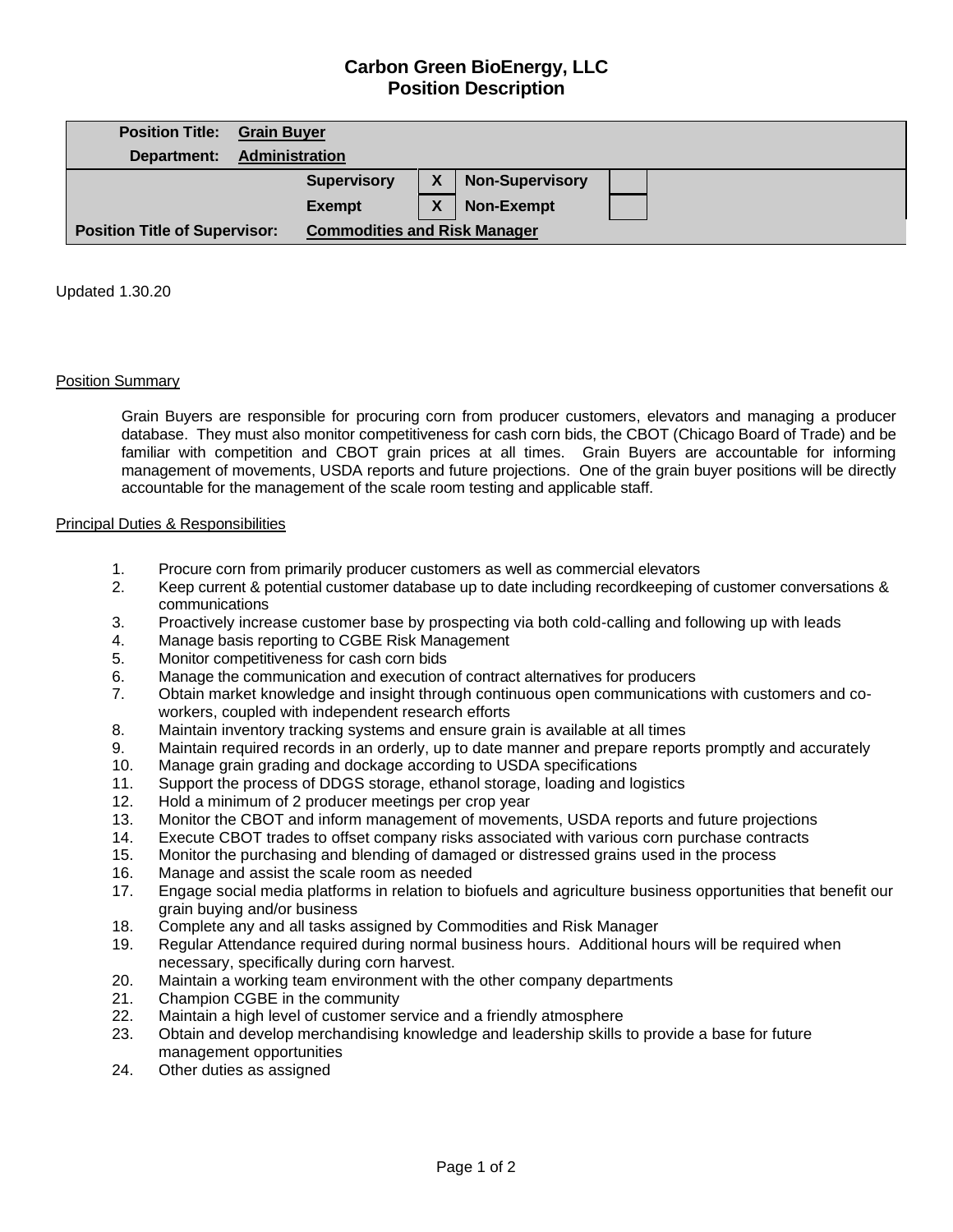# **Carbon Green BioEnergy, LLC Position Description**

| <b>Position Title:</b>               | <b>Grain Buyer</b> |                                     |   |                        |  |  |  |  |
|--------------------------------------|--------------------|-------------------------------------|---|------------------------|--|--|--|--|
| Department:                          | Administration     |                                     |   |                        |  |  |  |  |
|                                      |                    | <b>Supervisory</b>                  | χ | <b>Non-Supervisory</b> |  |  |  |  |
|                                      |                    | <b>Exempt</b>                       | χ | <b>Non-Exempt</b>      |  |  |  |  |
| <b>Position Title of Supervisor:</b> |                    | <b>Commodities and Risk Manager</b> |   |                        |  |  |  |  |

Updated 1.30.20

## Position Summary

Grain Buyers are responsible for procuring corn from producer customers, elevators and managing a producer database. They must also monitor competitiveness for cash corn bids, the CBOT (Chicago Board of Trade) and be familiar with competition and CBOT grain prices at all times. Grain Buyers are accountable for informing management of movements, USDA reports and future projections. One of the grain buyer positions will be directly accountable for the management of the scale room testing and applicable staff.

## Principal Duties & Responsibilities

- 1. Procure corn from primarily producer customers as well as commercial elevators
- 2. Keep current & potential customer database up to date including recordkeeping of customer conversations & communications
- 3. Proactively increase customer base by prospecting via both cold-calling and following up with leads
- 4. Manage basis reporting to CGBE Risk Management
- 5. Monitor competitiveness for cash corn bids
- 6. Manage the communication and execution of contract alternatives for producers
- 7. Obtain market knowledge and insight through continuous open communications with customers and coworkers, coupled with independent research efforts
- 8. Maintain inventory tracking systems and ensure grain is available at all times
- 9. Maintain required records in an orderly, up to date manner and prepare reports promptly and accurately
- 10. Manage grain grading and dockage according to USDA specifications
- 11. Support the process of DDGS storage, ethanol storage, loading and logistics
- 12. Hold a minimum of 2 producer meetings per crop year
- 13. Monitor the CBOT and inform management of movements, USDA reports and future projections
- 14. Execute CBOT trades to offset company risks associated with various corn purchase contracts
- 15. Monitor the purchasing and blending of damaged or distressed grains used in the process
- 16. Manage and assist the scale room as needed
- 17. Engage social media platforms in relation to biofuels and agriculture business opportunities that benefit our grain buying and/or business
- 18. Complete any and all tasks assigned by Commodities and Risk Manager
- 19. Regular Attendance required during normal business hours. Additional hours will be required when necessary, specifically during corn harvest.
- 20. Maintain a working team environment with the other company departments
- 21. Champion CGBE in the community
- 22. Maintain a high level of customer service and a friendly atmosphere
- 23. Obtain and develop merchandising knowledge and leadership skills to provide a base for future management opportunities
- 24. Other duties as assigned